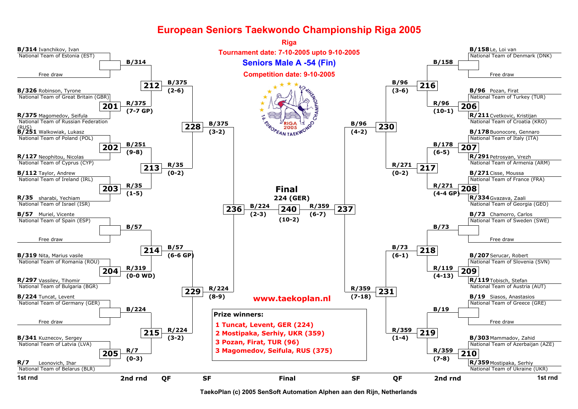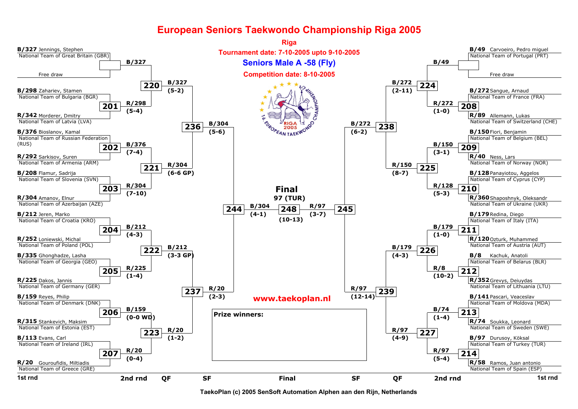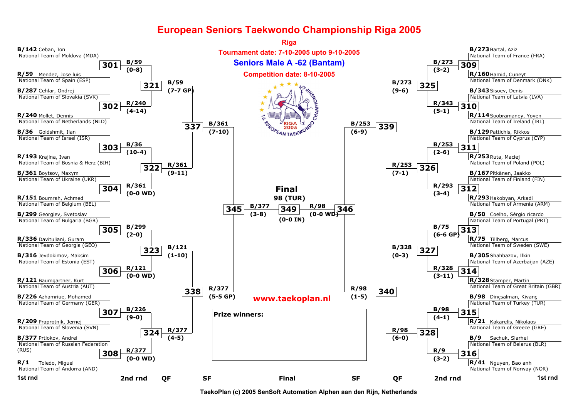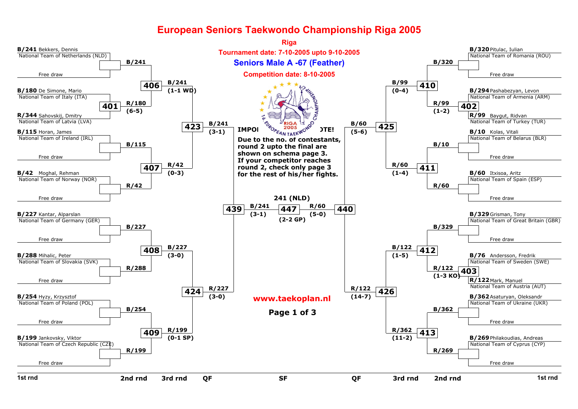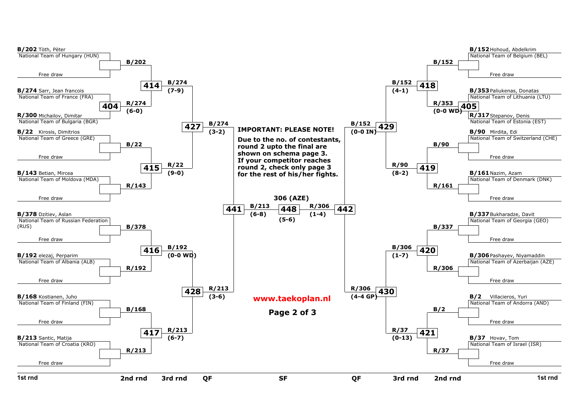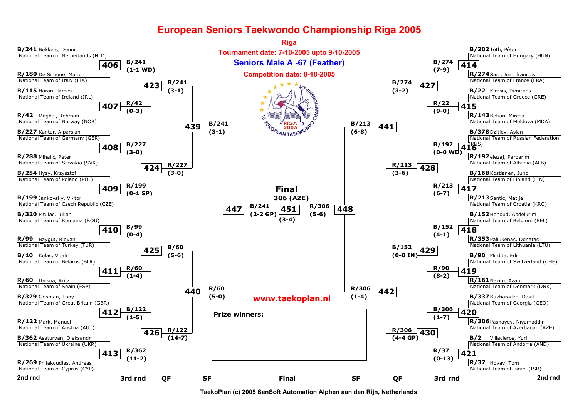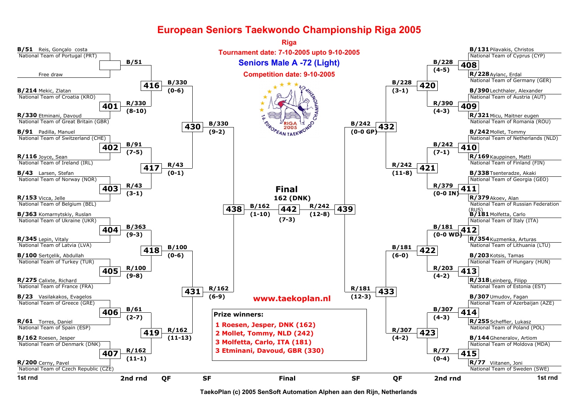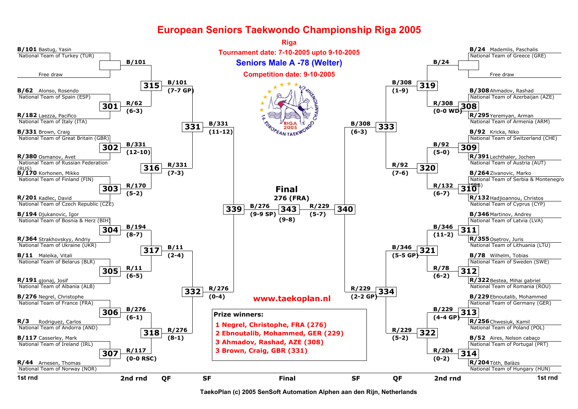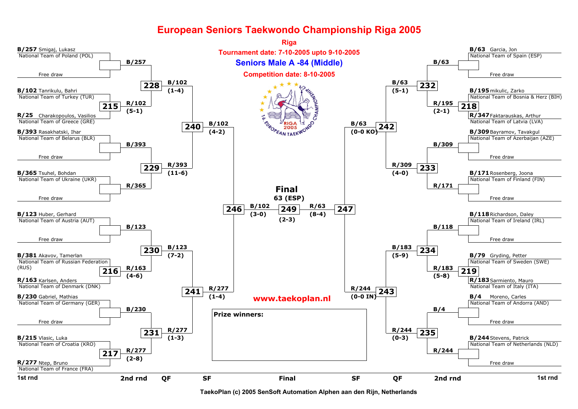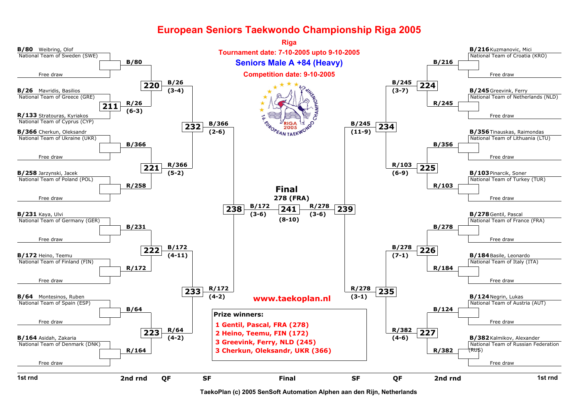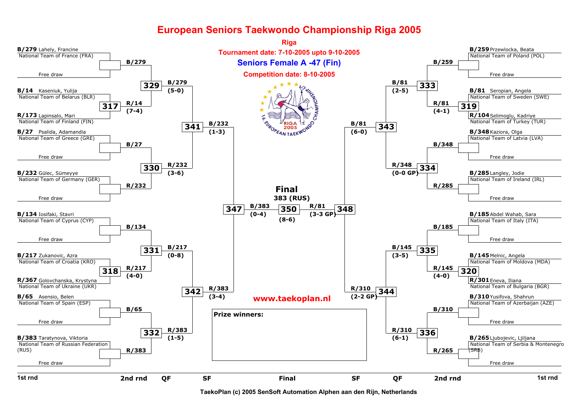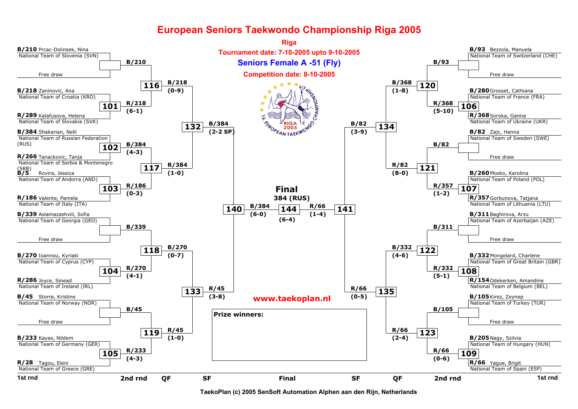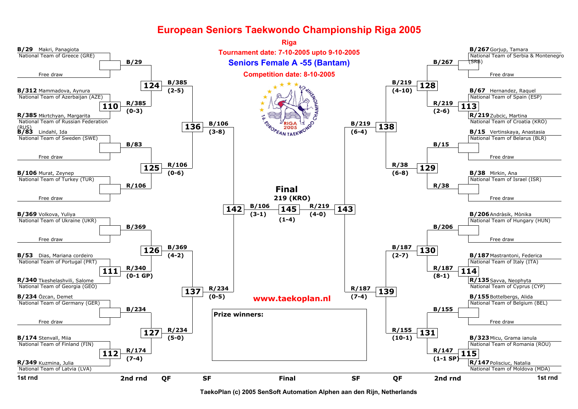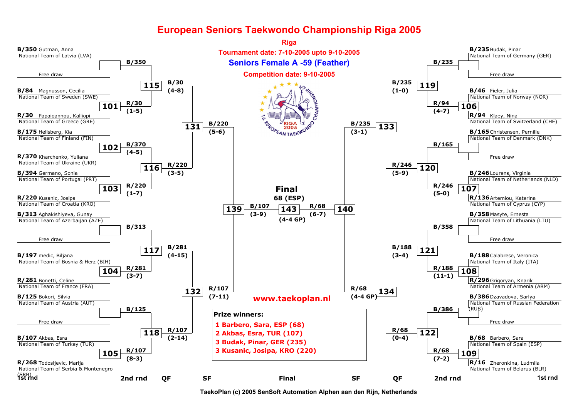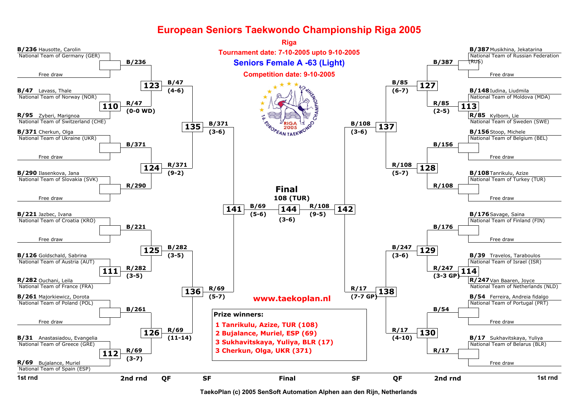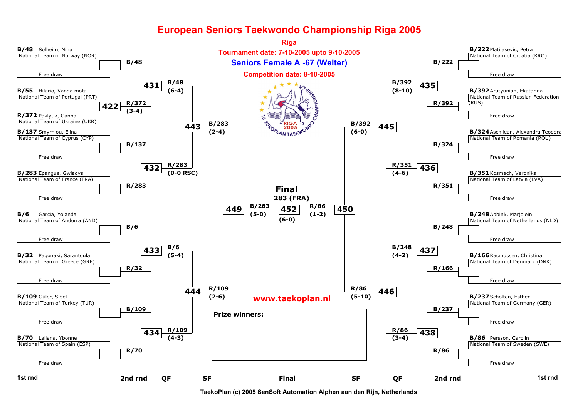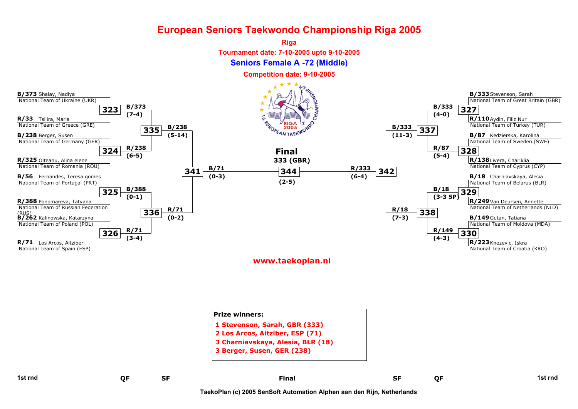

#### [www.taekoplan.nl](http://www.taekoplan.nl)

| 1st rnd | QF | <b>SF</b> | <b>Final</b>                                                    | <b>SF</b> | QF | 1st rnd |
|---------|----|-----------|-----------------------------------------------------------------|-----------|----|---------|
|         |    |           | 3 Charniavskaya, Alesia, BLR (18)<br>3 Berger, Susen, GER (238) |           |    |         |
|         |    |           | 2 Los Arcos, Aitziber, ESP (71)                                 |           |    |         |
|         |    |           | 1 Stevenson, Sarah, GBR (333)                                   |           |    |         |
|         |    |           | <b>Prize winners:</b>                                           |           |    |         |